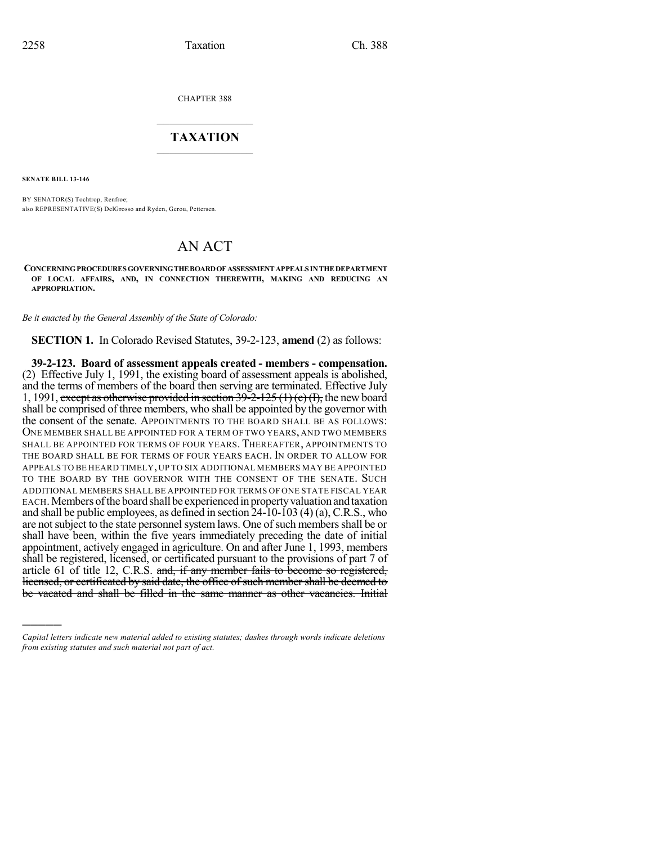CHAPTER 388

## $\mathcal{L}_\text{max}$  . The set of the set of the set of the set of the set of the set of the set of the set of the set of the set of the set of the set of the set of the set of the set of the set of the set of the set of the set **TAXATION**  $\_$

**SENATE BILL 13-146**

)))))

BY SENATOR(S) Tochtrop, Renfroe; also REPRESENTATIVE(S) DelGrosso and Ryden, Gerou, Pettersen.

## AN ACT

**CONCERNINGPROCEDURESGOVERNINGTHEBOARDOFASSESSMENT APPEALSINTHE DEPARTMENT OF LOCAL AFFAIRS, AND, IN CONNECTION THEREWITH, MAKING AND REDUCING AN APPROPRIATION.**

*Be it enacted by the General Assembly of the State of Colorado:*

**SECTION 1.** In Colorado Revised Statutes, 39-2-123, **amend** (2) as follows:

**39-2-123. Board of assessment appeals created - members - compensation.** (2) Effective July 1, 1991, the existing board of assessment appeals is abolished, and the terms of members of the board then serving are terminated. Effective July 1, 1991, except as otherwise provided in section  $39\overline{-2}$ -125 (1) (e) (I), the new board shall be comprised of three members, who shall be appointed by the governor with the consent of the senate. APPOINTMENTS TO THE BOARD SHALL BE AS FOLLOWS: ONE MEMBER SHALL BE APPOINTED FOR A TERM OF TWO YEARS, AND TWO MEMBERS SHALL BE APPOINTED FOR TERMS OF FOUR YEARS. THEREAFTER, APPOINTMENTS TO THE BOARD SHALL BE FOR TERMS OF FOUR YEARS EACH. IN ORDER TO ALLOW FOR APPEALS TO BE HEARD TIMELY, UP TO SIX ADDITIONAL MEMBERS MAY BE APPOINTED TO THE BOARD BY THE GOVERNOR WITH THE CONSENT OF THE SENATE. SUCH ADDITIONAL MEMBERS SHALL BE APPOINTED FOR TERMS OF ONE STATE FISCAL YEAR EACH. Members of the board shall be experienced in property valuation and taxation and shall be public employees, as defined in section 24-10-103 (4) (a), C.R.S., who are not subject to the state personnel system laws. One of such members shall be or shall have been, within the five years immediately preceding the date of initial appointment, actively engaged in agriculture. On and after June 1, 1993, members shall be registered, licensed, or certificated pursuant to the provisions of part 7 of article 61 of title 12, C.R.S. and, if any member fails to become so registered, licensed, or certificated by said date, the office of such member shall be deemed to be vacated and shall be filled in the same manner as other vacancies. Initial

*Capital letters indicate new material added to existing statutes; dashes through words indicate deletions from existing statutes and such material not part of act.*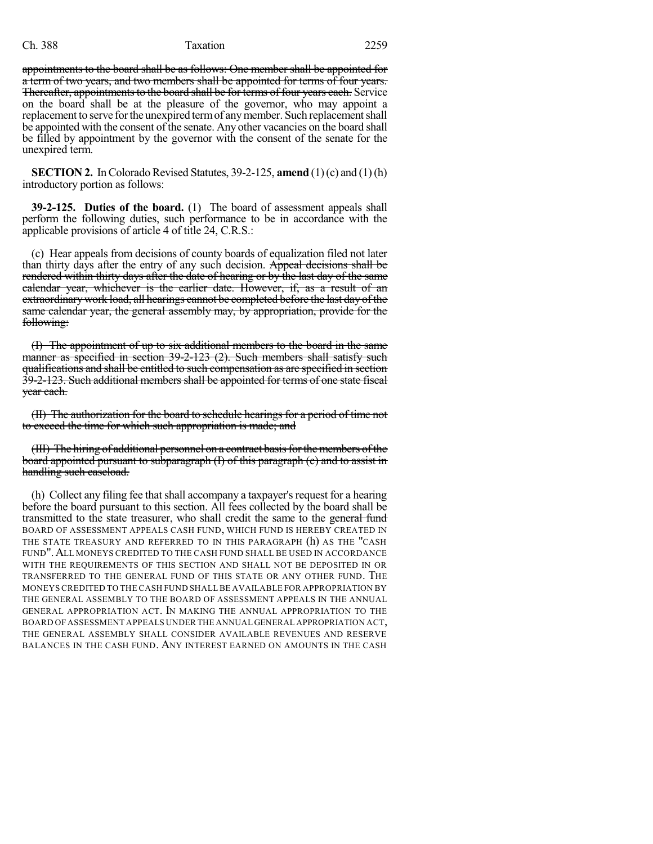## Ch. 388 Taxation 2259

appointments to the board shall be as follows: One member shall be appointed for a term of two years, and two members shall be appointed for terms of four years. Thereafter, appointments to the board shall be for terms of four years each. Service on the board shall be at the pleasure of the governor, who may appoint a replacement to serve for the unexpired term of any member. Such replacement shall be appointed with the consent of the senate. Any other vacancies on the board shall be filled by appointment by the governor with the consent of the senate for the unexpired term.

**SECTION 2.** In Colorado Revised Statutes, 39-2-125, **amend**  $(1)$  (c) and  $(1)$  (h) introductory portion as follows:

**39-2-125. Duties of the board.** (1) The board of assessment appeals shall perform the following duties, such performance to be in accordance with the applicable provisions of article 4 of title 24, C.R.S.:

(c) Hear appeals from decisions of county boards of equalization filed not later than thirty days after the entry of any such decision. Appeal decisions shall be rendered within thirty days after the date of hearing or by the last day of the same calendar year, whichever is the earlier date. However, if, as a result of an extraordinary work load, all hearings cannot be completed before the last day of the same calendar year, the general assembly may, by appropriation, provide for the following:

(I) The appointment of up to six additional members to the board in the same manner as specified in section 39-2-123 (2). Such members shall satisfy such qualifications and shall be entitled to such compensation as are specified in section 39-2-123. Such additional members shall be appointed for terms of one state fiscal year each.

(II) The authorization for the board to schedule hearings for a period of time not to exceed the time for which such appropriation is made; and

(III) The hiring of additional personnel on a contract basisforthe members ofthe board appointed pursuant to subparagraph (I) of this paragraph (c) and to assist in handling such caseload.

(h) Collect any filing fee thatshall accompany a taxpayer's request for a hearing before the board pursuant to this section. All fees collected by the board shall be transmitted to the state treasurer, who shall credit the same to the general fund BOARD OF ASSESSMENT APPEALS CASH FUND, WHICH FUND IS HEREBY CREATED IN THE STATE TREASURY AND REFERRED TO IN THIS PARAGRAPH (h) AS THE "CASH FUND".ALL MONEYS CREDITED TO THE CASH FUND SHALL BE USED IN ACCORDANCE WITH THE REQUIREMENTS OF THIS SECTION AND SHALL NOT BE DEPOSITED IN OR TRANSFERRED TO THE GENERAL FUND OF THIS STATE OR ANY OTHER FUND. THE MONEYS CREDITED TO THE CASH FUND SHALLBE AVAILABLE FOR APPROPRIATION BY THE GENERAL ASSEMBLY TO THE BOARD OF ASSESSMENT APPEALS IN THE ANNUAL GENERAL APPROPRIATION ACT. IN MAKING THE ANNUAL APPROPRIATION TO THE BOARD OF ASSESSMENT APPEALS UNDER THE ANNUAL GENERAL APPROPRIATION ACT, THE GENERAL ASSEMBLY SHALL CONSIDER AVAILABLE REVENUES AND RESERVE BALANCES IN THE CASH FUND. ANY INTEREST EARNED ON AMOUNTS IN THE CASH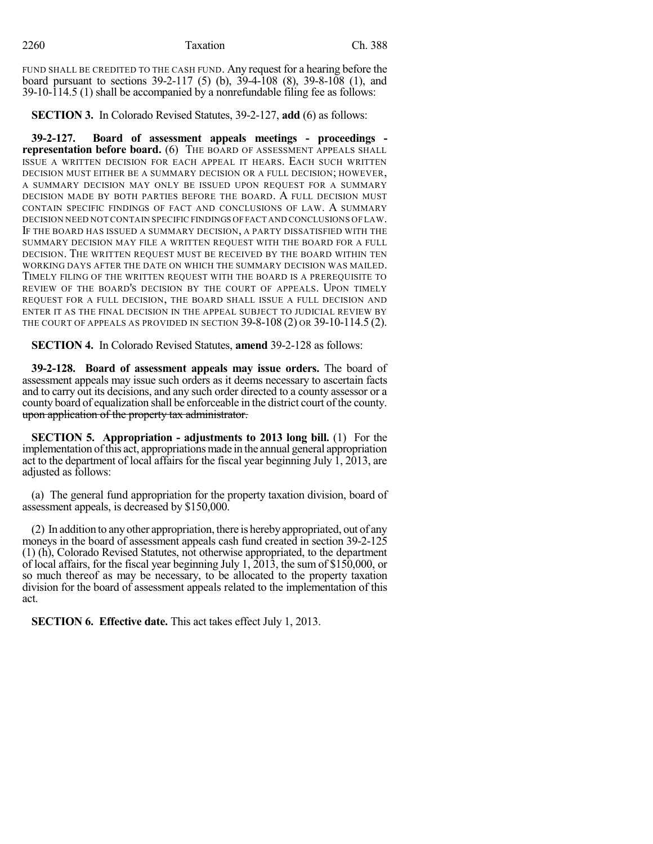FUND SHALL BE CREDITED TO THE CASH FUND. Any request for a hearing before the board pursuant to sections 39-2-117 (5) (b), 39-4-108 (8), 39-8-108 (1), and 39-10-114.5 (1) shall be accompanied by a nonrefundable filing fee as follows:

**SECTION 3.** In Colorado Revised Statutes, 39-2-127, **add** (6) as follows:

**39-2-127. Board of assessment appeals meetings - proceedings representation before board.** (6) THE BOARD OF ASSESSMENT APPEALS SHALL ISSUE A WRITTEN DECISION FOR EACH APPEAL IT HEARS. EACH SUCH WRITTEN DECISION MUST EITHER BE A SUMMARY DECISION OR A FULL DECISION; HOWEVER, A SUMMARY DECISION MAY ONLY BE ISSUED UPON REQUEST FOR A SUMMARY DECISION MADE BY BOTH PARTIES BEFORE THE BOARD. A FULL DECISION MUST CONTAIN SPECIFIC FINDINGS OF FACT AND CONCLUSIONS OF LAW. A SUMMARY DECISION NEED NOT CONTAIN SPECIFIC FINDINGS OFFACT AND CONCLUSIONS OF LAW. IF THE BOARD HAS ISSUED A SUMMARY DECISION, A PARTY DISSATISFIED WITH THE SUMMARY DECISION MAY FILE A WRITTEN REQUEST WITH THE BOARD FOR A FULL DECISION. THE WRITTEN REQUEST MUST BE RECEIVED BY THE BOARD WITHIN TEN WORKING DAYS AFTER THE DATE ON WHICH THE SUMMARY DECISION WAS MAILED. TIMELY FILING OF THE WRITTEN REQUEST WITH THE BOARD IS A PREREQUISITE TO REVIEW OF THE BOARD'S DECISION BY THE COURT OF APPEALS. UPON TIMELY REQUEST FOR A FULL DECISION, THE BOARD SHALL ISSUE A FULL DECISION AND ENTER IT AS THE FINAL DECISION IN THE APPEAL SUBJECT TO JUDICIAL REVIEW BY THE COURT OF APPEALS AS PROVIDED IN SECTION 39-8-108 (2) OR 39-10-114.5 (2).

**SECTION 4.** In Colorado Revised Statutes, **amend** 39-2-128 as follows:

**39-2-128. Board of assessment appeals may issue orders.** The board of assessment appeals may issue such orders as it deems necessary to ascertain facts and to carry out its decisions, and any such order directed to a county assessor or a county board of equalization shall be enforceable in the district court of the county. upon application of the property tax administrator.

**SECTION 5. Appropriation - adjustments to 2013 long bill.** (1) For the implementation ofthis act, appropriations made in the annual general appropriation act to the department of local affairs for the fiscal year beginning July 1, 2013, are adjusted as follows:

(a) The general fund appropriation for the property taxation division, board of assessment appeals, is decreased by \$150,000.

(2) In addition to anyother appropriation, there is herebyappropriated, out of any moneys in the board of assessment appeals cash fund created in section 39-2-125 (1) (h), Colorado Revised Statutes, not otherwise appropriated, to the department of local affairs, for the fiscal year beginning July 1, 2013, the sum of \$150,000, or so much thereof as may be necessary, to be allocated to the property taxation division for the board of assessment appeals related to the implementation of this act.

**SECTION 6. Effective date.** This act takes effect July 1, 2013.